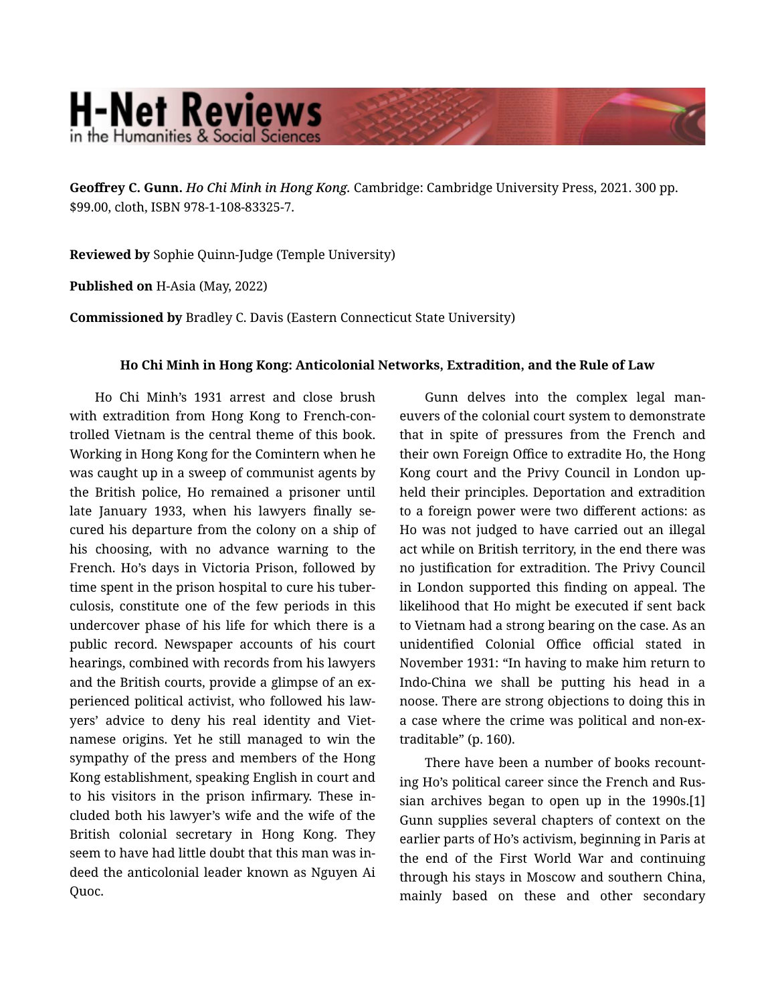## **H-Net Reviews** in the Humanities & Social Scienc

**Geoffrey C. Gunn.** *Ho Chi Minh in Hong Kong.* Cambridge: Cambridge University Press, 2021. 300 pp. \$99.00, cloth, ISBN 978-1-108-83325-7.

**Reviewed by** Sophie Quinn-Judge (Temple University)

**Published on** H-Asia (May, 2022)

**Commissioned by** Bradley C. Davis (Eastern Connecticut State University)

## **Ho Chi Minh in Hong Kong: Anticolonial Networks, Extradition, and the Rule of Law**

Ho Chi Minh's 1931 arrest and close brush with extradition from Hong Kong to French-con‐ trolled Vietnam is the central theme of this book. Working in Hong Kong for the Comintern when he was caught up in a sweep of communist agents by the British police, Ho remained a prisoner until late January 1933, when his lawyers finally se‐ cured his departure from the colony on a ship of his choosing, with no advance warning to the French. Ho's days in Victoria Prison, followed by time spent in the prison hospital to cure his tuber‐ culosis, constitute one of the few periods in this undercover phase of his life for which there is a public record. Newspaper accounts of his court hearings, combined with records from his lawyers and the British courts, provide a glimpse of an ex‐ perienced political activist, who followed his law‐ yers' advice to deny his real identity and Viet‐ namese origins. Yet he still managed to win the sympathy of the press and members of the Hong Kong establishment, speaking English in court and to his visitors in the prison infirmary. These in‐ cluded both his lawyer's wife and the wife of the British colonial secretary in Hong Kong. They seem to have had little doubt that this man was in‐ deed the anticolonial leader known as Nguyen Ai Ouoc.

Gunn delves into the complex legal maneuvers of the colonial court system to demonstrate that in spite of pressures from the French and their own Foreign Office to extradite Ho, the Hong Kong court and the Privy Council in London up‐ held their principles. Deportation and extradition to a foreign power were two different actions: as Ho was not judged to have carried out an illegal act while on British territory, in the end there was no justification for extradition. The Privy Council in London supported this finding on appeal. The likelihood that Ho might be executed if sent back to Vietnam had a strong bearing on the case. As an unidentified Colonial Office official stated in November 1931: "In having to make him return to Indo-China we shall be putting his head in a noose. There are strong objections to doing this in a case where the crime was political and non-ex‐ traditable" (p. 160).

There have been a number of books recount‐ ing Ho's political career since the French and Rus‐ sian archives began to open up in the 1990s.[1] Gunn supplies several chapters of context on the earlier parts of Ho's activism, beginning in Paris at the end of the First World War and continuing through his stays in Moscow and southern China, mainly based on these and other secondary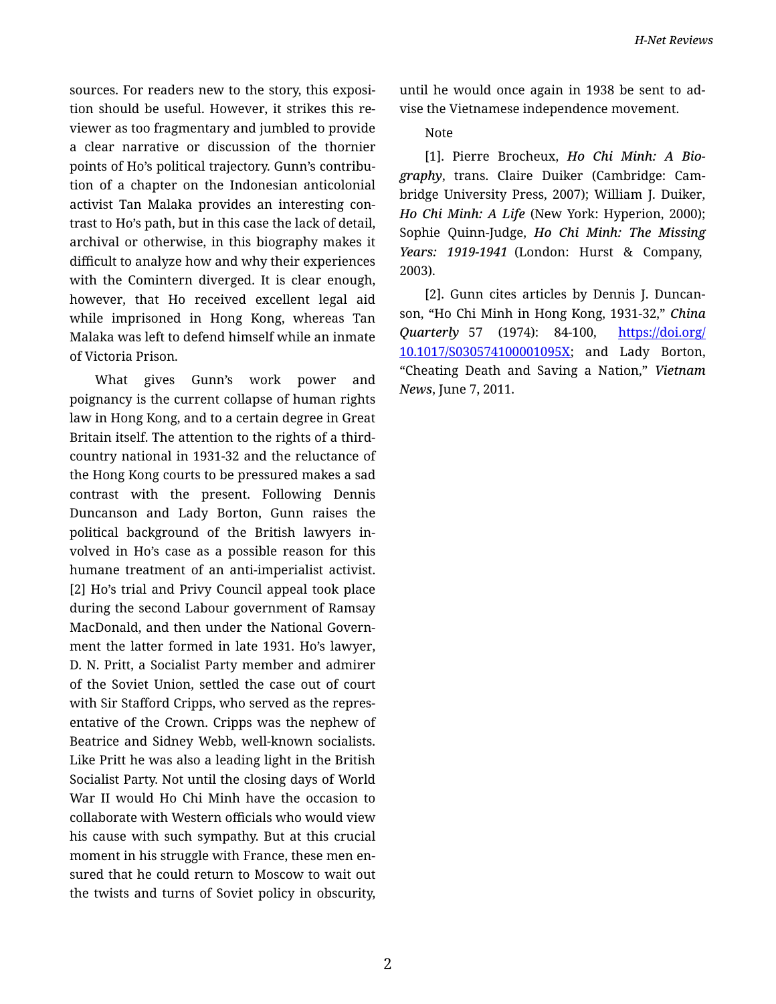sources. For readers new to the story, this exposition should be useful. However, it strikes this re‐ viewer as too fragmentary and jumbled to provide a clear narrative or discussion of the thornier points of Ho's political trajectory. Gunn's contribu‐ tion of a chapter on the Indonesian anticolonial activist Tan Malaka provides an interesting con‐ trast to Ho's path, but in this case the lack of detail, archival or otherwise, in this biography makes it difficult to analyze how and why their experiences with the Comintern diverged. It is clear enough, however, that Ho received excellent legal aid while imprisoned in Hong Kong, whereas Tan Malaka was left to defend himself while an inmate of Victoria Prison.

What gives Gunn's work power and poignancy is the current collapse of human rights law in Hong Kong, and to a certain degree in Great Britain itself. The attention to the rights of a thirdcountry national in 1931-32 and the reluctance of the Hong Kong courts to be pressured makes a sad contrast with the present. Following Dennis Duncanson and Lady Borton, Gunn raises the political background of the British lawyers in‐ volved in Ho's case as a possible reason for this humane treatment of an anti-imperialist activist. [2] Ho's trial and Privy Council appeal took place during the second Labour government of Ramsay MacDonald, and then under the National Govern‐ ment the latter formed in late 1931. Ho's lawyer, D. N. Pritt, a Socialist Party member and admirer of the Soviet Union, settled the case out of court with Sir Stafford Cripps, who served as the repres‐ entative of the Crown. Cripps was the nephew of Beatrice and Sidney Webb, well-known socialists. Like Pritt he was also a leading light in the British Socialist Party. Not until the closing days of World War II would Ho Chi Minh have the occasion to collaborate with Western officials who would view his cause with such sympathy. But at this crucial moment in his struggle with France, these men en‐ sured that he could return to Moscow to wait out the twists and turns of Soviet policy in obscurity, until he would once again in 1938 be sent to ad‐ vise the Vietnamese independence movement.

Note

[1]. Pierre Brocheux, *Ho Chi Minh: A Bio‐ graphy*, trans. Claire Duiker (Cambridge: Cam‐ bridge University Press, 2007); William J. Duiker, *Ho Chi Minh: A Life* (New York: Hyperion, 2000); Sophie Quinn-Judge, *Ho Chi Minh: The Missing Years: 1919-1941* (London: Hurst & Company, 2003).

[2]. Gunn cites articles by Dennis J. Duncan‐ son, "Ho Chi Minh in Hong Kong, 1931-32," *China Quarterly* 57 (1974): 84-100, [https://doi.org/](https://doi.org/10.1017/S030574100001095X) [10.1017/S030574100001095X](https://doi.org/10.1017/S030574100001095X); and Lady Borton, "Cheating Death and Saving a Nation," *Vietnam News*, June 7, 2011.